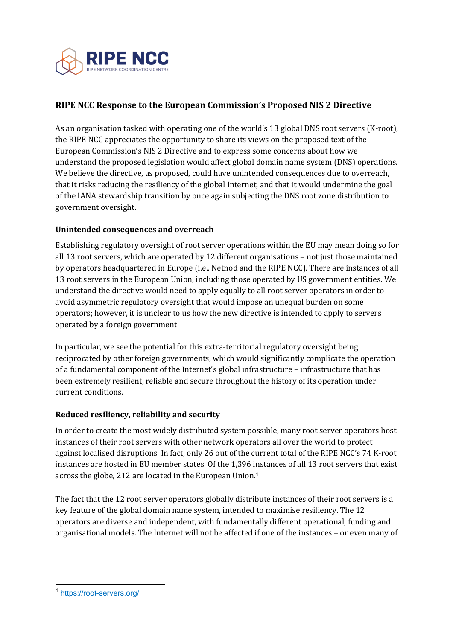

# **RIPE NCC Response to the European Commission's Proposed NIS 2 Directive**

As an organisation tasked with operating one of the world's 13 global DNS root servers (K-root), the RIPE NCC appreciates the opportunity to share its views on the proposed text of the European Commission's NIS 2 Directive and to express some concerns about how we understand the proposed legislation would affect global domain name system (DNS) operations. We believe the directive, as proposed, could have unintended consequences due to overreach, that it risks reducing the resiliency of the global Internet, and that it would undermine the goal of the IANA stewardship transition by once again subjecting the DNS root zone distribution to government oversight.

### **Unintended consequences and overreach**

Establishing regulatory oversight of root server operations within the EU may mean doing so for all 13 root servers, which are operated by 12 different organisations  $-$  not just those maintained by operators headquartered in Europe (i.e., Netnod and the RIPE NCC). There are instances of all 13 root servers in the European Union, including those operated by US government entities. We understand the directive would need to apply equally to all root server operators in order to avoid asymmetric regulatory oversight that would impose an unequal burden on some operators; however, it is unclear to us how the new directive is intended to apply to servers operated by a foreign government.

In particular, we see the potential for this extra-territorial regulatory oversight being reciprocated by other foreign governments, which would significantly complicate the operation of a fundamental component of the Internet's global infrastructure - infrastructure that has been extremely resilient, reliable and secure throughout the history of its operation under current conditions.

#### **Reduced resiliency, reliability and security**

In order to create the most widely distributed system possible, many root server operators host instances of their root servers with other network operators all over the world to protect against localised disruptions. In fact, only 26 out of the current total of the RIPE NCC's 74 K-root instances are hosted in EU member states. Of the 1,396 instances of all 13 root servers that exist across the globe, 212 are located in the European Union.<sup>1</sup>

The fact that the 12 root server operators globally distribute instances of their root servers is a key feature of the global domain name system, intended to maximise resiliency. The 12 operators are diverse and independent, with fundamentally different operational, funding and organisational models. The Internet will not be affected if one of the instances – or even many of

<sup>1</sup> https://root-servers.org/